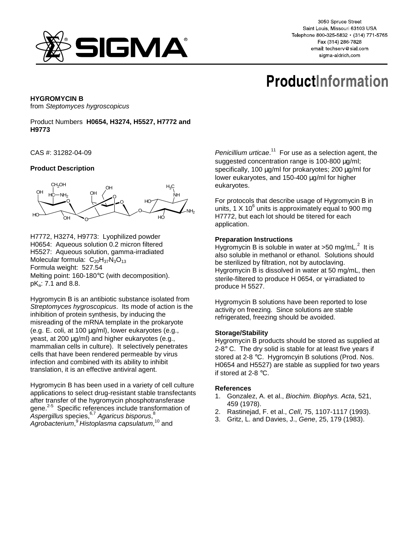

3050 Spruce Street Saint Louis, Missouri 63103 USA Telephone 800-325-5832 · (314) 771-5765 Fax (314) 286-7828 email: techserv@sial.com sigma-aldrich.com

# **ProductInformation**

# **HYGROMYCIN B**

from Steptomyces hygroscopicus

Product Numbers **H0654, H3274, H5527, H7772 and H9773**

CAS #: 31282-04-09

# **Product Description**



H7772, H3274, H9773: Lyophilized powder H0654: Aqueous solution 0.2 micron filtered H5527: Aqueous solution, gamma-irradiated Molecular formula:  $C_{20}H_{37}N_3O_{13}$ Formula weight: 527.54 Melting point: 160-180°C (with decomposition). pKa: 7.1 and 8.8.

Hygromycin B is an antibiotic substance isolated from Streptomyces hygroscopicus. Its mode of action is the inhibition of protein synthesis, by inducing the misreading of the mRNA template in the prokaryote (e.g. E. coli, at 100 µg/ml), lower eukaryotes (e.g., yeast, at 200 µg/ml) and higher eukaryotes (e.g., mammalian cells in culture). It selectively penetrates cells that have been rendered permeable by virus infection and combined with its ability to inhibit translation, it is an effective antiviral agent.

Hygromycin B has been used in a variety of cell culture applications to select drug-resistant stable transfectants after transfer of the hygromycin phosphotransferase gene.<sup>2-5</sup> Specific references include transformation of Aspergillus species, $6,7$  Agaricus bisporus, $^8$ Agrobacterium,<sup>9</sup> Histoplasma capsulatum,<sup>10</sup> and

Penicillium urticae.<sup>11</sup> For use as a selection agent, the suggested concentration range is 100-800 µg/ml; specifically, 100 µg/ml for prokaryotes; 200 µg/ml for lower eukaryotes, and 150-400 µg/ml for higher eukaryotes.

For protocols that describe usage of Hygromycin B in units, 1 X 10 $^6$  units is approximately equal to 900 mg H7772, but each lot should be titered for each application.

### **Preparation Instructions**

Hygromycin B is soluble in water at >50 mg/mL. $2$  It is also soluble in methanol or ethanol. Solutions should be sterilized by filtration, not by autoclaving. Hygromycin B is dissolved in water at 50 mg/mL, then sterile-filtered to produce H 0654, or γ-irradiated to produce H 5527.

Hygromycin B solutions have been reported to lose activity on freezing. Since solutions are stable refrigerated, freezing should be avoided.

### **Storage/Stability**

Hygromycin B products should be stored as supplied at  $2-8^\circ$  C. The dry solid is stable for at least five years if stored at 2-8 °C. Hygromcyin B solutions (Prod. Nos. H0654 and H5527) are stable as supplied for two years if stored at 2-8 °C.

### **References**

- 1. Gonzalez, A. et al., Biochim. Biophys. Acta, 521, 459 (1978).
- 2. Rastinejad, F. et al., Cell, 75, 1107-1117 (1993).
- 3. Gritz, L. and Davies, J., Gene, 25, 179 (1983).